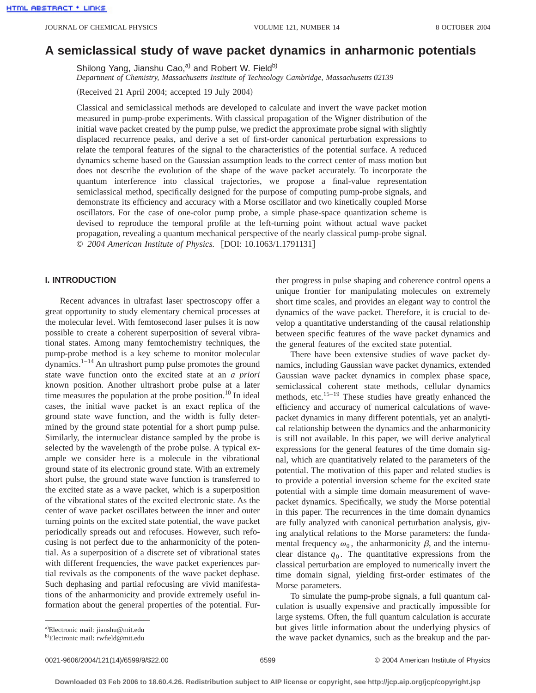# **A semiclassical study of wave packet dynamics in anharmonic potentials**

Shilong Yang, Jianshu Cao, $a^0$  and Robert W. Field<sup>b)</sup> *Department of Chemistry, Massachusetts Institute of Technology Cambridge, Massachusetts 02139*

(Received 21 April 2004; accepted 19 July 2004)

Classical and semiclassical methods are developed to calculate and invert the wave packet motion measured in pump-probe experiments. With classical propagation of the Wigner distribution of the initial wave packet created by the pump pulse, we predict the approximate probe signal with slightly displaced recurrence peaks, and derive a set of first-order canonical perturbation expressions to relate the temporal features of the signal to the characteristics of the potential surface. A reduced dynamics scheme based on the Gaussian assumption leads to the correct center of mass motion but does not describe the evolution of the shape of the wave packet accurately. To incorporate the quantum interference into classical trajectories, we propose a final-value representation semiclassical method, specifically designed for the purpose of computing pump-probe signals, and demonstrate its efficiency and accuracy with a Morse oscillator and two kinetically coupled Morse oscillators. For the case of one-color pump probe, a simple phase-space quantization scheme is devised to reproduce the temporal profile at the left-turning point without actual wave packet propagation, revealing a quantum mechanical perspective of the nearly classical pump-probe signal. © 2004 American Institute of Physics. [DOI: 10.1063/1.1791131]

# **I. INTRODUCTION**

Recent advances in ultrafast laser spectroscopy offer a great opportunity to study elementary chemical processes at the molecular level. With femtosecond laser pulses it is now possible to create a coherent superposition of several vibrational states. Among many femtochemistry techniques, the pump-probe method is a key scheme to monitor molecular dynamics.<sup>1–14</sup> An ultrashort pump pulse promotes the ground state wave function onto the excited state at an *a priori* known position. Another ultrashort probe pulse at a later time measures the population at the probe position.<sup>10</sup> In ideal cases, the initial wave packet is an exact replica of the ground state wave function, and the width is fully determined by the ground state potential for a short pump pulse. Similarly, the internuclear distance sampled by the probe is selected by the wavelength of the probe pulse. A typical example we consider here is a molecule in the vibrational ground state of its electronic ground state. With an extremely short pulse, the ground state wave function is transferred to the excited state as a wave packet, which is a superposition of the vibrational states of the excited electronic state. As the center of wave packet oscillates between the inner and outer turning points on the excited state potential, the wave packet periodically spreads out and refocuses. However, such refocusing is not perfect due to the anharmonicity of the potential. As a superposition of a discrete set of vibrational states with different frequencies, the wave packet experiences partial revivals as the components of the wave packet dephase. Such dephasing and partial refocusing are vivid manifestations of the anharmonicity and provide extremely useful information about the general properties of the potential. Further progress in pulse shaping and coherence control opens a unique frontier for manipulating molecules on extremely short time scales, and provides an elegant way to control the dynamics of the wave packet. Therefore, it is crucial to develop a quantitative understanding of the causal relationship between specific features of the wave packet dynamics and the general features of the excited state potential.

There have been extensive studies of wave packet dynamics, including Gaussian wave packet dynamics, extended Gaussian wave packet dynamics in complex phase space, semiclassical coherent state methods, cellular dynamics methods, etc.<sup>15–19</sup> These studies have greatly enhanced the efficiency and accuracy of numerical calculations of wavepacket dynamics in many different potentials, yet an analytical relationship between the dynamics and the anharmonicity is still not available. In this paper, we will derive analytical expressions for the general features of the time domain signal, which are quantitatively related to the parameters of the potential. The motivation of this paper and related studies is to provide a potential inversion scheme for the excited state potential with a simple time domain measurement of wavepacket dynamics. Specifically, we study the Morse potential in this paper. The recurrences in the time domain dynamics are fully analyzed with canonical perturbation analysis, giving analytical relations to the Morse parameters: the fundamental frequency  $\omega_0$ , the anharmonicity  $\beta$ , and the internuclear distance  $q_0$ . The quantitative expressions from the classical perturbation are employed to numerically invert the time domain signal, yielding first-order estimates of the Morse parameters.

To simulate the pump-probe signals, a full quantum calculation is usually expensive and practically impossible for large systems. Often, the full quantum calculation is accurate but gives little information about the underlying physics of the wave packet dynamics, such as the breakup and the par-

a)Electronic mail: jianshu@mit.edu

<sup>&</sup>lt;sup>b)</sup>Electronic mail: rwfield@mit.edu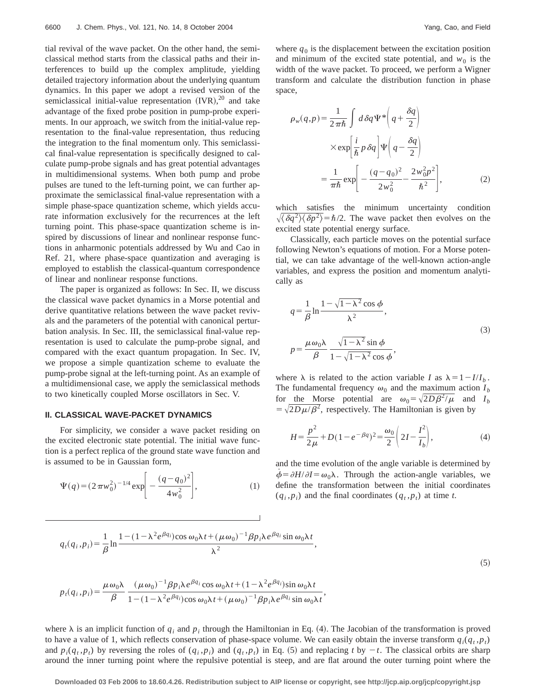tial revival of the wave packet. On the other hand, the semiclassical method starts from the classical paths and their interferences to build up the complex amplitude, yielding detailed trajectory information about the underlying quantum dynamics. In this paper we adopt a revised version of the semiclassical initial-value representation  $(IVR)$ ,  $^{20}$  and take advantage of the fixed probe position in pump-probe experiments. In our approach, we switch from the initial-value representation to the final-value representation, thus reducing the integration to the final momentum only. This semiclassical final-value representation is specifically designed to calculate pump-probe signals and has great potential advantages in multidimensional systems. When both pump and probe pulses are tuned to the left-turning point, we can further approximate the semiclassical final-value representation with a simple phase-space quantization scheme, which yields accurate information exclusively for the recurrences at the left turning point. This phase-space quantization scheme is inspired by discussions of linear and nonlinear response functions in anharmonic potentials addressed by Wu and Cao in Ref. 21, where phase-space quantization and averaging is employed to establish the classical-quantum correspondence of linear and nonlinear response functions.

The paper is organized as follows: In Sec. II, we discuss the classical wave packet dynamics in a Morse potential and derive quantitative relations between the wave packet revivals and the parameters of the potential with canonical perturbation analysis. In Sec. III, the semiclassical final-value representation is used to calculate the pump-probe signal, and compared with the exact quantum propagation. In Sec. IV, we propose a simple quantization scheme to evaluate the pump-probe signal at the left-turning point. As an example of a multidimensional case, we apply the semiclassical methods to two kinetically coupled Morse oscillators in Sec. V.

## **II. CLASSICAL WAVE-PACKET DYNAMICS**

For simplicity, we consider a wave packet residing on the excited electronic state potential. The initial wave function is a perfect replica of the ground state wave function and is assumed to be in Gaussian form,

$$
\Psi(q) = (2\pi w_0^2)^{-1/4} \exp\left[-\frac{(q-q_0)^2}{4w_0^2}\right],
$$
\n(1)

where  $q_0$  is the displacement between the excitation position and minimum of the excited state potential, and  $w_0$  is the width of the wave packet. To proceed, we perform a Wigner transform and calculate the distribution function in phase space,

$$
\rho_w(q, p) = \frac{1}{2\pi\hbar} \int d\delta q \Psi^* \left( q + \frac{\delta q}{2} \right)
$$

$$
\times \exp\left[ \frac{i}{\hbar} p \delta q \right] \Psi \left( q - \frac{\delta q}{2} \right)
$$

$$
= \frac{1}{\pi\hbar} \exp\left[ -\frac{(q - q_0)^2}{2w_0^2} - \frac{2w_0^2 p^2}{\hbar^2} \right],
$$
(2)

which satisfies the minimum uncertainty condition  $\sqrt{\langle \delta q^2 \rangle \langle \delta p^2 \rangle} = \hbar/2$ . The wave packet then evolves on the excited state potential energy surface.

Classically, each particle moves on the potential surface following Newton's equations of motion. For a Morse potential, we can take advantage of the well-known action-angle variables, and express the position and momentum analytically as

$$
q = \frac{1}{\beta} \ln \frac{1 - \sqrt{1 - \lambda^2} \cos \phi}{\lambda^2},
$$
  

$$
p = \frac{\mu \omega_0 \lambda}{\beta} \frac{\sqrt{1 - \lambda^2} \sin \phi}{1 - \sqrt{1 - \lambda^2} \cos \phi},
$$
 (3)

where  $\lambda$  is related to the action variable *I* as  $\lambda = 1 - I/I_b$ . The fundamental frequency  $\omega_0$  and the maximum action  $I_b$ for the Morse potential are  $\omega_0 = \sqrt{2D\beta^2/\mu}$  and  $I_b$  $= \sqrt{2D\mu/\beta^2}$ , respectively. The Hamiltonian is given by

$$
H = \frac{p^2}{2\mu} + D(1 - e^{-\beta q})^2 = \frac{\omega_0}{2} \left( 2I - \frac{I^2}{I_b} \right),\tag{4}
$$

and the time evolution of the angle variable is determined by  $\phi = \partial H / \partial I = \omega_0 \lambda$ . Through the action-angle variables, we define the transformation between the initial coordinates  $(q_i, p_i)$  and the final coordinates  $(q_t, p_t)$  at time *t*.

$$
q_i(q_i, p_i) = \frac{1}{\beta} \ln \frac{1 - (1 - \lambda^2 e^{\beta q_i}) \cos \omega_0 \lambda t + (\mu \omega_0)^{-1} \beta p_i \lambda e^{\beta q_i} \sin \omega_0 \lambda t}{\lambda^2},
$$
\n(5)

$$
p_t(q_i, p_i) = \frac{\mu \omega_0 \lambda}{\beta} \frac{(\mu \omega_0)^{-1} \beta p_i \lambda e^{\beta q_i} \cos \omega_0 \lambda t + (1 - \lambda^2 e^{\beta q_i}) \sin \omega_0 \lambda t}{1 - (1 - \lambda^2 e^{\beta q_i}) \cos \omega_0 \lambda t + (\mu \omega_0)^{-1} \beta p_i \lambda e^{\beta q_i} \sin \omega_0 \lambda t},
$$

where  $\lambda$  is an implicit function of  $q_i$  and  $p_i$  through the Hamiltonian in Eq. (4). The Jacobian of the transformation is proved to have a value of 1, which reflects conservation of phase-space volume. We can easily obtain the inverse transform  $q_i(q_t, p_t)$ and  $p_i(q_t, p_t)$  by reversing the roles of  $(q_i, p_i)$  and  $(q_t, p_t)$  in Eq. (5) and replacing t by  $-t$ . The classical orbits are sharp around the inner turning point where the repulsive potential is steep, and are flat around the outer turning point where the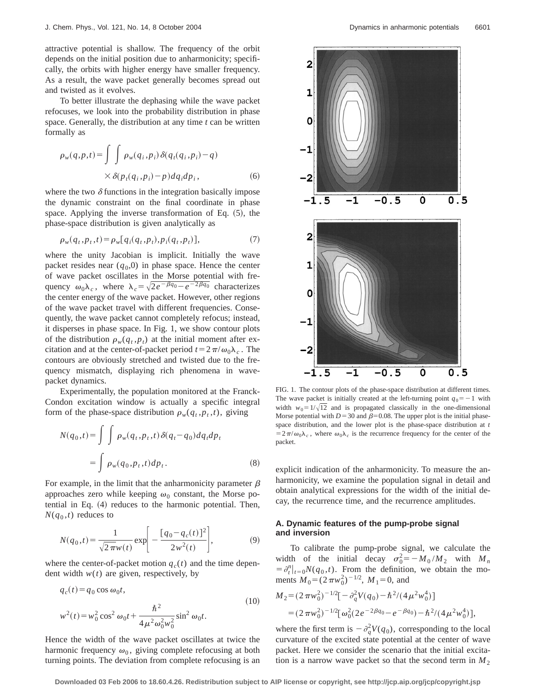attractive potential is shallow. The frequency of the orbit depends on the initial position due to anharmonicity; specifically, the orbits with higher energy have smaller frequency. As a result, the wave packet generally becomes spread out and twisted as it evolves.

To better illustrate the dephasing while the wave packet refocuses, we look into the probability distribution in phase space. Generally, the distribution at any time *t* can be written formally as

$$
\rho_w(q, p, t) = \int \int \rho_w(q_i, p_i) \delta(q_i(q_i, p_i) - q)
$$

$$
\times \delta(p_i(q_i, p_i) - p) dq_i dp_i,
$$
\n(6)

where the two  $\delta$  functions in the integration basically impose the dynamic constraint on the final coordinate in phase space. Applying the inverse transformation of Eq.  $(5)$ , the phase-space distribution is given analytically as

$$
\rho_w(q_t, p_t, t) = \rho_w[q_i(q_t, p_t), p_i(q_t, p_t)], \qquad (7)
$$

where the unity Jacobian is implicit. Initially the wave packet resides near  $(q_0,0)$  in phase space. Hence the center of wave packet oscillates in the Morse potential with frequency  $\omega_0 \lambda_c$ , where  $\lambda_c = \sqrt{2e^{-\beta q_0} - e^{-2\beta q_0}}$  characterizes the center energy of the wave packet. However, other regions of the wave packet travel with different frequencies. Consequently, the wave packet cannot completely refocus; instead, it disperses in phase space. In Fig. 1, we show contour plots of the distribution  $\rho_w(q_t, p_t)$  at the initial moment after excitation and at the center-of-packet period  $t=2\pi/\omega_0\lambda_c$ . The contours are obviously stretched and twisted due to the frequency mismatch, displaying rich phenomena in wavepacket dynamics.

Experimentally, the population monitored at the Franck-Condon excitation window is actually a specific integral form of the phase-space distribution  $\rho_w(q_t, p_t, t)$ , giving

$$
N(q_0,t) = \int \int \rho_w(q_t, p_t, t) \delta(q_t - q_0) dq_t dp_t
$$
  
= 
$$
\int \rho_w(q_0, p_t, t) dp_t.
$$
 (8)

For example, in the limit that the anharmonicity parameter  $\beta$ approaches zero while keeping  $\omega_0$  constant, the Morse potential in Eq.  $(4)$  reduces to the harmonic potential. Then,  $N(q_0,t)$  reduces to

$$
N(q_0, t) = \frac{1}{\sqrt{2\pi}w(t)} \exp\left[-\frac{[q_0 - q_c(t)]^2}{2w^2(t)}\right],
$$
 (9)

where the center-of-packet motion  $q_c(t)$  and the time dependent width  $w(t)$  are given, respectively, by

$$
q_c(t) = q_0 \cos \omega_0 t,
$$
  
\n
$$
w^2(t) = w_0^2 \cos^2 \omega_0 t + \frac{\hbar^2}{4\mu^2 \omega_0^2 w_0^2} \sin^2 \omega_0 t.
$$
\n(10)

Hence the width of the wave packet oscillates at twice the harmonic frequency  $\omega_0$ , giving complete refocusing at both turning points. The deviation from complete refocusing is an



FIG. 1. The contour plots of the phase-space distribution at different times. The wave packet is initially created at the left-turning point  $q_0 = -1$  with width  $w_0 = 1/\sqrt{12}$  and is propagated classically in the one-dimensional Morse potential with  $D=30$  and  $\beta=0.08$ . The upper plot is the initial phasespace distribution, and the lower plot is the phase-space distribution at *t*  $=2\pi/\omega_0\lambda_c$ , where  $\omega_0\lambda_c$  is the recurrence frequency for the center of the packet.

explicit indication of the anharmonicity. To measure the anharmonicity, we examine the population signal in detail and obtain analytical expressions for the width of the initial decay, the recurrence time, and the recurrence amplitudes.

# **A. Dynamic features of the pump-probe signal and inversion**

To calibrate the pump-probe signal, we calculate the width of the initial decay  $\sigma_0^2 = -M_0/M_2$  with  $M_n$  $=\frac{\partial^{n}}{\partial t}|_{t=0}N(q_0,t)$ . From the definition, we obtain the moments  $M_0 = (2 \pi w_0^2)^{-1/2}$ ,  $M_1 = 0$ , and

$$
M_2 = (2 \pi w_0^2)^{-1/2} [-\partial_q^2 V(q_0) - \hbar^2 / (4 \mu^2 w_0^4)]
$$
  
=  $(2 \pi w_0^2)^{-1/2} [\omega_0^2 (2e^{-2\beta q_0} - e^{-\beta q_0}) - \hbar^2 / (4 \mu^2 w_0^4)],$ 

where the first term is  $-\partial_q^2 V(q_0)$ , corresponding to the local curvature of the excited state potential at the center of wave packet. Here we consider the scenario that the initial excitation is a narrow wave packet so that the second term in  $M_2$ 

**Downloaded 03 Feb 2006 to 18.60.4.26. Redistribution subject to AIP license or copyright, see http://jcp.aip.org/jcp/copyright.jsp**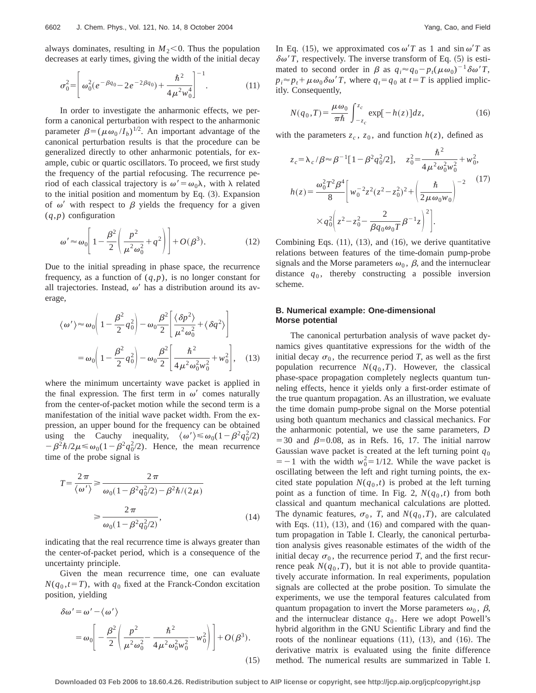always dominates, resulting in  $M<sub>2</sub>< 0$ . Thus the population decreases at early times, giving the width of the initial decay

$$
\sigma_0^2 = \left[ \omega_0^2 (e^{-\beta q_0} - 2e^{-2\beta q_0}) + \frac{\hbar^2}{4\mu^2 w_0^4} \right]^{-1}.
$$
 (11)

In order to investigate the anharmonic effects, we perform a canonical perturbation with respect to the anharmonic parameter  $\beta = (\mu \omega_0 / I_b)^{1/2}$ . An important advantage of the canonical perturbation results is that the procedure can be generalized directly to other anharmonic potentials, for example, cubic or quartic oscillators. To proceed, we first study the frequency of the partial refocusing. The recurrence period of each classical trajectory is  $\omega' = \omega_0 \lambda$ , with  $\lambda$  related to the initial position and momentum by Eq.  $(3)$ . Expansion of  $\omega'$  with respect to  $\beta$  yields the frequency for a given (*q*,*p*) configuration

$$
\omega' \approx \omega_0 \left[ 1 - \frac{\beta^2}{2} \left( \frac{p^2}{\mu^2 \omega_0^2} + q^2 \right) \right] + O(\beta^3). \tag{12}
$$

Due to the initial spreading in phase space, the recurrence frequency, as a function of  $(q, p)$ , is no longer constant for all trajectories. Instead,  $\omega'$  has a distribution around its average,

$$
\langle \omega' \rangle \approx \omega_0 \bigg( 1 - \frac{\beta^2}{2} q_0^2 \bigg) - \omega_0 \frac{\beta^2}{2} \bigg[ \frac{\langle \delta p^2 \rangle}{\mu^2 \omega_0^2} + \langle \delta q^2 \rangle \bigg]
$$

$$
= \omega_0 \bigg( 1 - \frac{\beta^2}{2} q_0^2 \bigg) - \omega_0 \frac{\beta^2}{2} \bigg[ \frac{\hbar^2}{4 \mu^2 \omega_0^2 w_0^2} + w_0^2 \bigg], \quad (13)
$$

where the minimum uncertainty wave packet is applied in the final expression. The first term in  $\omega'$  comes naturally from the center-of-packet motion while the second term is a manifestation of the initial wave packet width. From the expression, an upper bound for the frequency can be obtained using the Cauchy inequality,  $\langle \omega' \rangle \le \omega_0(1-\beta^2 q_0^2/2)$  $-\beta^2\hbar/2\mu \le \omega_0(1-\beta^2q_0^2/2)$ . Hence, the mean recurrence time of the probe signal is

$$
T = \frac{2\pi}{\langle \omega' \rangle} \ge \frac{2\pi}{\omega_0 (1 - \beta^2 q_0^2 / 2) - \beta^2 \hbar / (2\mu)}
$$

$$
\ge \frac{2\pi}{\omega_0 (1 - \beta^2 q_0^2 / 2)},\tag{14}
$$

indicating that the real recurrence time is always greater than the center-of-packet period, which is a consequence of the uncertainty principle.

Given the mean recurrence time, one can evaluate  $N(q_0, t = T)$ , with  $q_0$  fixed at the Franck-Condon excitation position, yielding

$$
\delta\omega' = \omega' - \langle \omega' \rangle
$$
  
=  $\omega_0 \left[ -\frac{\beta^2}{2} \left( \frac{p^2}{\mu^2 \omega_0^2} - \frac{\hbar^2}{4\mu^2 \omega_0^2 w_0^2} - w_0^2 \right) \right] + O(\beta^3).$  (15)

In Eq. (15), we approximated cos  $\omega' T$  as 1 and sin  $\omega' T$  as  $\delta\omega' T$ , respectively. The inverse transform of Eq. (5) is estimated to second order in  $\beta$  as  $q_i \approx q_0 - p_t(\mu \omega_0)^{-1} \delta \omega' T$ ,  $p_i \approx p_t + \mu \omega_0 \delta \omega' T$ , where  $q_t = q_0$  at  $t = T$  is applied implicitly. Consequently,

$$
N(q_0, T) = \frac{\mu \omega_0}{\pi \hbar} \int_{-z_c}^{z_c} \exp[-h(z)] dz,
$$
 (16)

with the parameters  $z_c$ ,  $z_0$ , and function  $h(z)$ , defined as

$$
z_c = \lambda_c / \beta \approx \beta^{-1} [1 - \beta^2 q_0^2 / 2], \quad z_0^2 = \frac{\hbar^2}{4 \mu^2 \omega_0^2 w_0^2} + w_0^2,
$$
  

$$
h(z) = \frac{\omega_0^2 T^2 \beta^4}{8} \left[ w_0^{-2} z^2 (z^2 - z_0^2)^2 + \left( \frac{\hbar}{2 \mu \omega_0 w_0} \right)^{-2} \right] \times q_0^2 \left( z^2 - z_0^2 - \frac{2}{\beta q_0 \omega_0 T} \beta^{-1} z \right)^2 \right].
$$
 (17)

Combining Eqs.  $(11)$ ,  $(13)$ , and  $(16)$ , we derive quantitative relations between features of the time-domain pump-probe signals and the Morse parameters  $\omega_0$ ,  $\beta$ , and the internuclear distance  $q_0$ , thereby constructing a possible inversion scheme.

## **B. Numerical example: One-dimensional Morse potential**

The canonical perturbation analysis of wave packet dynamics gives quantitative expressions for the width of the initial decay  $\sigma_0$ , the recurrence period *T*, as well as the first population recurrence  $N(q_0, T)$ . However, the classical phase-space propagation completely neglects quantum tunneling effects, hence it yields only a first-order estimate of the true quantum propagation. As an illustration, we evaluate the time domain pump-probe signal on the Morse potential using both quantum mechanics and classical mechanics. For the anharmonic potential, we use the same parameters, *D*  $=$  30 and  $\beta$ =0.08, as in Refs. 16, 17. The initial narrow Gaussian wave packet is created at the left turning point  $q_0$  $=$  -1 with the width  $w_0^2$  = 1/12. While the wave packet is oscillating between the left and right turning points, the excited state population  $N(q_0,t)$  is probed at the left turning point as a function of time. In Fig. 2,  $N(q_0, t)$  from both classical and quantum mechanical calculations are plotted. The dynamic features,  $\sigma_0$ , *T*, and *N*( $q_0$ ,*T*), are calculated with Eqs.  $(11)$ ,  $(13)$ , and  $(16)$  and compared with the quantum propagation in Table I. Clearly, the canonical perturbation analysis gives reasonable estimates of the width of the initial decay  $\sigma_0$ , the recurrence period *T*, and the first recurrence peak  $N(q_0, T)$ , but it is not able to provide quantitatively accurate information. In real experiments, population signals are collected at the probe position. To simulate the experiments, we use the temporal features calculated from quantum propagation to invert the Morse parameters  $\omega_0$ ,  $\beta$ , and the internuclear distance  $q_0$ . Here we adopt Powell's hybrid algorithm in the GNU Scientific Library and find the roots of the nonlinear equations  $(11)$ ,  $(13)$ , and  $(16)$ . The derivative matrix is evaluated using the finite difference method. The numerical results are summarized in Table I.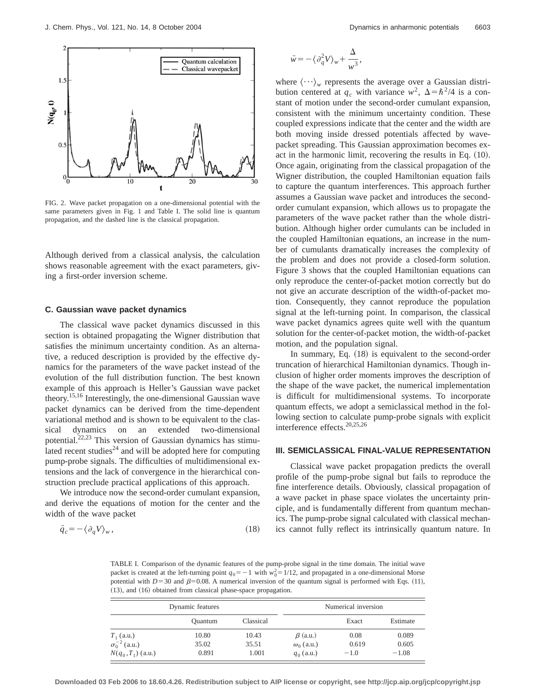

FIG. 2. Wave packet propagation on a one-dimensional potential with the same parameters given in Fig. 1 and Table I. The solid line is quantum propagation, and the dashed line is the classical propagation.

Although derived from a classical analysis, the calculation shows reasonable agreement with the exact parameters, giving a first-order inversion scheme.

#### **C. Gaussian wave packet dynamics**

The classical wave packet dynamics discussed in this section is obtained propagating the Wigner distribution that satisfies the minimum uncertainty condition. As an alternative, a reduced description is provided by the effective dynamics for the parameters of the wave packet instead of the evolution of the full distribution function. The best known example of this approach is Heller's Gaussian wave packet theory.15,16 Interestingly, the one-dimensional Gaussian wave packet dynamics can be derived from the time-dependent variational method and is shown to be equivalent to the classical dynamics on an extended two-dimensional potential.<sup>22,23</sup> This version of Gaussian dynamics has stimulated recent studies<sup>24</sup> and will be adopted here for computing pump-probe signals. The difficulties of multidimensional extensions and the lack of convergence in the hierarchical construction preclude practical applications of this approach.

We introduce now the second-order cumulant expansion, and derive the equations of motion for the center and the width of the wave packet

$$
\ddot{q}_c = -\langle \partial_q V \rangle_w, \tag{18}
$$

$$
\ddot{w} = -\langle \partial_q^2 V \rangle_w + \frac{\Delta}{w^3},
$$

where  $\langle \cdots \rangle_w$  represents the average over a Gaussian distribution centered at  $q_c$  with variance  $w^2$ ,  $\Delta = \hbar^2/4$  is a constant of motion under the second-order cumulant expansion, consistent with the minimum uncertainty condition. These coupled expressions indicate that the center and the width are both moving inside dressed potentials affected by wavepacket spreading. This Gaussian approximation becomes exact in the harmonic limit, recovering the results in Eq.  $(10)$ . Once again, originating from the classical propagation of the Wigner distribution, the coupled Hamiltonian equation fails to capture the quantum interferences. This approach further assumes a Gaussian wave packet and introduces the secondorder cumulant expansion, which allows us to propagate the parameters of the wave packet rather than the whole distribution. Although higher order cumulants can be included in the coupled Hamiltonian equations, an increase in the number of cumulants dramatically increases the complexity of the problem and does not provide a closed-form solution. Figure 3 shows that the coupled Hamiltonian equations can only reproduce the center-of-packet motion correctly but do not give an accurate description of the width-of-packet motion. Consequently, they cannot reproduce the population signal at the left-turning point. In comparison, the classical wave packet dynamics agrees quite well with the quantum solution for the center-of-packet motion, the width-of-packet motion, and the population signal.

In summary, Eq.  $(18)$  is equivalent to the second-order truncation of hierarchical Hamiltonian dynamics. Though inclusion of higher order moments improves the description of the shape of the wave packet, the numerical implementation is difficult for multidimensional systems. To incorporate quantum effects, we adopt a semiclassical method in the following section to calculate pump-probe signals with explicit interference effects.20,25,26

### **III. SEMICLASSICAL FINAL-VALUE REPRESENTATION**

Classical wave packet propagation predicts the overall profile of the pump-probe signal but fails to reproduce the fine interference details. Obviously, classical propagation of a wave packet in phase space violates the uncertainty principle, and is fundamentally different from quantum mechanics. The pump-probe signal calculated with classical mechanics cannot fully reflect its intrinsically quantum nature. In

TABLE I. Comparison of the dynamic features of the pump-probe signal in the time domain. The initial wave packet is created at the left-turning point  $q_0 = -1$  with  $w_0^2 = 1/12$ , and propagated in a one-dimensional Morse potential with  $D=30$  and  $\beta=0.08$ . A numerical inversion of the quantum signal is performed with Eqs. (11),  $(13)$ , and  $(16)$  obtained from classical phase-space propagation.

| Dynamic features       |                |           | Numerical inversion |        |          |
|------------------------|----------------|-----------|---------------------|--------|----------|
|                        | <b>Ouantum</b> | Classical |                     | Exact  | Estimate |
| $T_1$ (a.u.)           | 10.80          | 10.43     | $\beta$ (a.u.)      | 0.08   | 0.089    |
| $\sigma_0^{-2}$ (a.u.) | 35.02          | 35.51     | $\omega_0$ (a.u.)   | 0.619  | 0.605    |
| $N(q_0, T_1)$ (a.u.)   | 0.891          | 1.001     | $q_0$ (a.u.)        | $-1.0$ | $-1.08$  |

**Downloaded 03 Feb 2006 to 18.60.4.26. Redistribution subject to AIP license or copyright, see http://jcp.aip.org/jcp/copyright.jsp**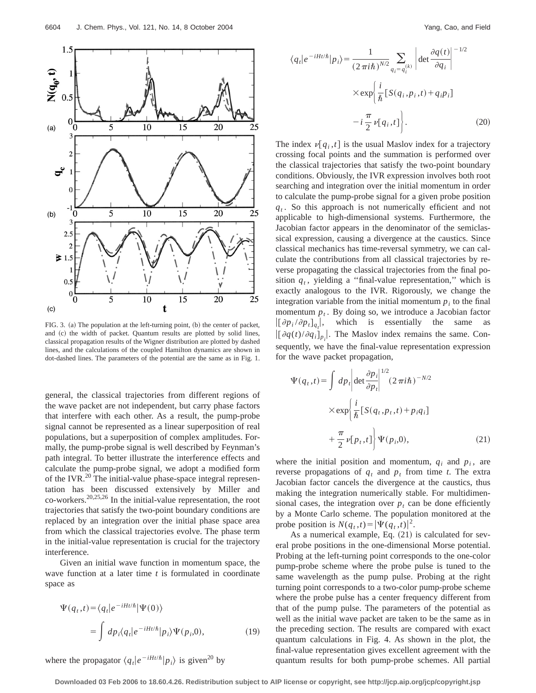

FIG. 3. (a) The population at the left-turning point, (b) the center of packet, and (c) the width of packet. Quantum results are plotted by solid lines, classical propagation results of the Wigner distribution are plotted by dashed lines, and the calculations of the coupled Hamilton dynamics are shown in dot-dashed lines. The parameters of the potential are the same as in Fig. 1.

general, the classical trajectories from different regions of the wave packet are not independent, but carry phase factors that interfere with each other. As a result, the pump-probe signal cannot be represented as a linear superposition of real populations, but a superposition of complex amplitudes. Formally, the pump-probe signal is well described by Feynman's path integral. To better illustrate the interference effects and calculate the pump-probe signal, we adopt a modified form of the IVR. $^{20}$  The initial-value phase-space integral representation has been discussed extensively by Miller and co-workers.<sup>20,25,26</sup> In the initial-value representation, the root trajectories that satisfy the two-point boundary conditions are replaced by an integration over the initial phase space area from which the classical trajectories evolve. The phase term in the initial-value representation is crucial for the trajectory interference.

Given an initial wave function in momentum space, the wave function at a later time *t* is formulated in coordinate space as

$$
\Psi(q_t, t) = \langle q_t | e^{-iHt/\hbar} | \Psi(0) \rangle
$$
  
= 
$$
\int dp_i \langle q_t | e^{-iHt/\hbar} | p_i \rangle \Psi(p_i, 0),
$$
 (19)

where the propagator  $\langle q_t | e^{-iHt/\hbar} | p_i \rangle$  is given<sup>20</sup> by

$$
\langle q_t | e^{-iHt/\hbar} | p_i \rangle = \frac{1}{(2\pi i\hbar)^{N/2}} \sum_{q_i = q_i^{(k)}} \left| \det \frac{\partial q(t)}{\partial q_i} \right|^{-1/2}
$$

$$
\times \exp\left\{ \frac{i}{\hbar} \left[ S(q_i, p_i, t) + q_i p_i \right] - i\frac{\pi}{2} \nu[q_i, t] \right\}.
$$
(20)

The index  $\nu[q_i, t]$  is the usual Maslov index for a trajectory crossing focal points and the summation is performed over the classical trajectories that satisfy the two-point boundary conditions. Obviously, the IVR expression involves both root searching and integration over the initial momentum in order to calculate the pump-probe signal for a given probe position  $q_t$ . So this approach is not numerically efficient and not applicable to high-dimensional systems. Furthermore, the Jacobian factor appears in the denominator of the semiclassical expression, causing a divergence at the caustics. Since classical mechanics has time-reversal symmetry, we can calculate the contributions from all classical trajectories by reverse propagating the classical trajectories from the final position  $q_t$ , yielding a "final-value representation," which is exactly analogous to the IVR. Rigorously, we change the integration variable from the initial momentum  $p_i$  to the final momentum  $p_t$ . By doing so, we introduce a Jacobian factor  $[(\partial p_i/\partial p_t]_{q_t}]$ , which is essentially the same as  $|[\partial q(t)/\partial q_i]_{p_i}|$ . The Maslov index remains the same. Consequently, we have the final-value representation expression for the wave packet propagation,

$$
\Psi(q_t, t) = \int dp_t \left| \det \frac{\partial p_i}{\partial p_t} \right|^{1/2} (2 \pi i \hbar)^{-N/2}
$$

$$
\times \exp \left\{ \frac{i}{\hbar} \left[ S(q_t, p_t, t) + p_i q_i \right] + \frac{\pi}{2} \nu[p_t, t] \right\} \Psi(p_i, 0), \tag{21}
$$

where the initial position and momentum,  $q_i$  and  $p_i$ , are reverse propagations of  $q_t$  and  $p_t$  from time *t*. The extra Jacobian factor cancels the divergence at the caustics, thus making the integration numerically stable. For multidimensional cases, the integration over  $p_t$  can be done efficiently by a Monte Carlo scheme. The population monitored at the probe position is  $N(q_t, t) = |\Psi(q_t, t)|^2$ .

As a numerical example, Eq.  $(21)$  is calculated for several probe positions in the one-dimensional Morse potential. Probing at the left-turning point corresponds to the one-color pump-probe scheme where the probe pulse is tuned to the same wavelength as the pump pulse. Probing at the right turning point corresponds to a two-color pump-probe scheme where the probe pulse has a center frequency different from that of the pump pulse. The parameters of the potential as well as the initial wave packet are taken to be the same as in the preceding section. The results are compared with exact quantum calculations in Fig. 4. As shown in the plot, the final-value representation gives excellent agreement with the quantum results for both pump-probe schemes. All partial

**Downloaded 03 Feb 2006 to 18.60.4.26. Redistribution subject to AIP license or copyright, see http://jcp.aip.org/jcp/copyright.jsp**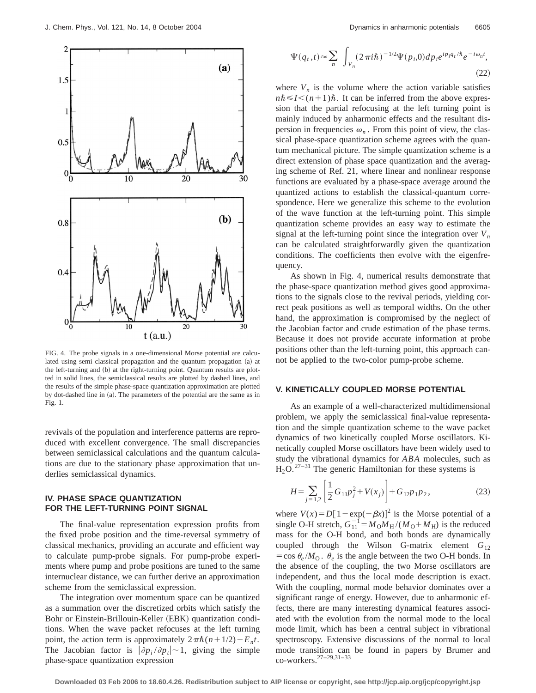

FIG. 4. The probe signals in a one-dimensional Morse potential are calculated using semi classical propagation and the quantum propagation (a) at the left-turning and (b) at the right-turning point. Quantum results are plotted in solid lines, the semiclassical results are plotted by dashed lines, and the results of the simple phase-space quantization approximation are plotted by dot-dashed line in (a). The parameters of the potential are the same as in Fig. 1.

revivals of the population and interference patterns are reproduced with excellent convergence. The small discrepancies between semiclassical calculations and the quantum calculations are due to the stationary phase approximation that underlies semiclassical dynamics.

### **IV. PHASE SPACE QUANTIZATION FOR THE LEFT-TURNING POINT SIGNAL**

The final-value representation expression profits from the fixed probe position and the time-reversal symmetry of classical mechanics, providing an accurate and efficient way to calculate pump-probe signals. For pump-probe experiments where pump and probe positions are tuned to the same internuclear distance, we can further derive an approximation scheme from the semiclassical expression.

The integration over momentum space can be quantized as a summation over the discretized orbits which satisfy the Bohr or Einstein-Brillouin-Keller (EBK) quantization conditions. When the wave packet refocuses at the left turning point, the action term is approximately  $2\pi\hbar(n+1/2)-E_nt$ . The Jacobian factor is  $|\partial p_i/\partial p_j|$  – 1, giving the simple phase-space quantization expression

$$
\Psi(q_t, t) \approx \sum_n \int_{V_n} (2\pi i\hbar)^{-1/2} \Psi(p_i, 0) dp_i e^{ip_i q_t/\hbar} e^{-i\omega_n t},
$$
\n(22)

where  $V_n$  is the volume where the action variable satisfies  $n\hbar \leq I \leq (n+1)\hbar$ . It can be inferred from the above expression that the partial refocusing at the left turning point is mainly induced by anharmonic effects and the resultant dispersion in frequencies  $\omega_n$ . From this point of view, the classical phase-space quantization scheme agrees with the quantum mechanical picture. The simple quantization scheme is a direct extension of phase space quantization and the averaging scheme of Ref. 21, where linear and nonlinear response functions are evaluated by a phase-space average around the quantized actions to establish the classical-quantum correspondence. Here we generalize this scheme to the evolution of the wave function at the left-turning point. This simple quantization scheme provides an easy way to estimate the signal at the left-turning point since the integration over  $V_n$ can be calculated straightforwardly given the quantization conditions. The coefficients then evolve with the eigenfrequency.

As shown in Fig. 4, numerical results demonstrate that the phase-space quantization method gives good approximations to the signals close to the revival periods, yielding correct peak positions as well as temporal widths. On the other hand, the approximation is compromised by the neglect of the Jacobian factor and crude estimation of the phase terms. Because it does not provide accurate information at probe positions other than the left-turning point, this approach cannot be applied to the two-color pump-probe scheme.

#### **V. KINETICALLY COUPLED MORSE POTENTIAL**

As an example of a well-characterized multidimensional problem, we apply the semiclassical final-value representation and the simple quantization scheme to the wave packet dynamics of two kinetically coupled Morse oscillators. Kinetically coupled Morse oscillators have been widely used to study the vibrational dynamics for *ABA* molecules, such as  $H_2O$ .<sup>27–31</sup> The generic Hamiltonian for these systems is

$$
H = \sum_{j=1,2} \left[ \frac{1}{2} G_{11} p_j^2 + V(x_j) \right] + G_{12} p_1 p_2, \tag{23}
$$

where  $V(x) = D[1 - \exp(-\beta x)]^2$  is the Morse potential of a single O-H stretch,  $G_{11}^{-1} = M_0 M_H / (M_0 + M_H)$  is the reduced mass for the O-H bond, and both bonds are dynamically coupled through the Wilson G-matrix element *G*<sup>12</sup>  $=$ cos  $\theta_e$ /*M*<sub>O</sub>.  $\theta_e$  is the angle between the two O-H bonds. In the absence of the coupling, the two Morse oscillators are independent, and thus the local mode description is exact. With the coupling, normal mode behavior dominates over a significant range of energy. However, due to anharmonic effects, there are many interesting dynamical features associated with the evolution from the normal mode to the local mode limit, which has been a central subject in vibrational spectroscopy. Extensive discussions of the normal to local mode transition can be found in papers by Brumer and co-workers.27–29,31–33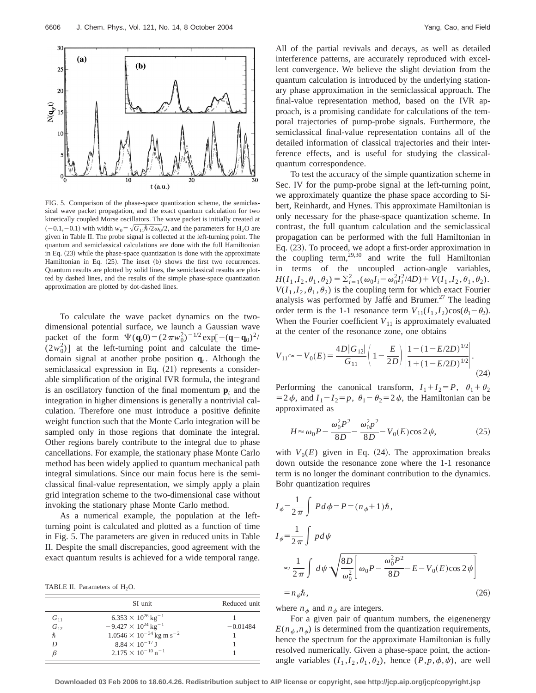

FIG. 5. Comparison of the phase-space quantization scheme, the semiclassical wave packet propagation, and the exact quantum calculation for two kinetically coupled Morse oscillators. The wave packet is initially created at  $(-0.1,-0.1)$  with width  $w_0 = \sqrt{G_{11}\hbar/2\omega_0/2}$ , and the parameters for H<sub>2</sub>O are given in Table II. The probe signal is collected at the left-turning point. The quantum and semiclassical calculations are done with the full Hamiltonian in Eq. (23) while the phase-space quantization is done with the approximate Hamiltonian in Eq.  $(25)$ . The inset  $(b)$  shows the first two recurrences. Quantum results are plotted by solid lines, the semiclassical results are plotted by dashed lines, and the results of the simple phase-space quantization approximation are plotted by dot-dashed lines.

To calculate the wave packet dynamics on the twodimensional potential surface, we launch a Gaussian wave packet of the form  $\Psi(\mathbf{q},0) = (2\pi w_0^2)^{-1/2} \exp[-(\mathbf{q}-\mathbf{q}_0)^2]$  $(2w_0^2)$ ] at the left-turning point and calculate the timedomain signal at another probe position  $q_t$ . Although the semiclassical expression in Eq.  $(21)$  represents a considerable simplification of the original IVR formula, the integrand is an oscillatory function of the final momentum  $\mathbf{p}_t$  and the integration in higher dimensions is generally a nontrivial calculation. Therefore one must introduce a positive definite weight function such that the Monte Carlo integration will be sampled only in those regions that dominate the integral. Other regions barely contribute to the integral due to phase cancellations. For example, the stationary phase Monte Carlo method has been widely applied to quantum mechanical path integral simulations. Since our main focus here is the semiclassical final-value representation, we simply apply a plain grid integration scheme to the two-dimensional case without invoking the stationary phase Monte Carlo method.

As a numerical example, the population at the leftturning point is calculated and plotted as a function of time in Fig. 5. The parameters are given in reduced units in Table II. Despite the small discrepancies, good agreement with the exact quantum results is achieved for a wide temporal range.

TABLE II. Parameters of  $H_2O$ .

|          | SI unit                                       | Reduced unit |  |
|----------|-----------------------------------------------|--------------|--|
| $G_{11}$ | $6.353 \times 10^{26}$ kg <sup>-1</sup>       |              |  |
| $G_{12}$ | $-9.427 \times 10^{24}$ kg <sup>-1</sup>      | $-0.01484$   |  |
| ħ        | $1.0546 \times 10^{-34}$ kg m s <sup>-2</sup> |              |  |
| D        | $8.84 \times 10^{-17}$ J                      |              |  |
|          | $2.175 \times 10^{-10}$ n <sup>-1</sup>       |              |  |

All of the partial revivals and decays, as well as detailed interference patterns, are accurately reproduced with excellent convergence. We believe the slight deviation from the quantum calculation is introduced by the underlying stationary phase approximation in the semiclassical approach. The final-value representation method, based on the IVR approach, is a promising candidate for calculations of the temporal trajectories of pump-probe signals. Furthermore, the semiclassical final-value representation contains all of the detailed information of classical trajectories and their interference effects, and is useful for studying the classicalquantum correspondence.

To test the accuracy of the simple quantization scheme in Sec. IV for the pump-probe signal at the left-turning point, we approximately quantize the phase space according to Sibert, Reinhardt, and Hynes. This approximate Hamiltonian is only necessary for the phase-space quantization scheme. In contrast, the full quantum calculation and the semiclassical propagation can be performed with the full Hamiltonian in Eq. (23). To proceed, we adopt a first-order approximation in the coupling term,29,30 and write the full Hamiltonian in terms of the uncoupled action-angle variables,  $H(I_1, I_2, \theta_1, \theta_2) = \sum_{i=1}^{2} (\omega_0 I_i - \omega_0^2 I_i^2 / 4D) + V(I_1, I_2, \theta_1, \theta_2).$  $V(I_1, I_2, \theta_1, \theta_2)$  is the coupling term for which exact Fourier analysis was performed by Jaffé and Brumer.<sup>27</sup> The leading order term is the 1-1 resonance term  $V_{11}(I_1, I_2)\cos(\theta_1 - \theta_2)$ . When the Fourier coefficient  $V_{11}$  is approximately evaluated at the center of the resonance zone, one obtains

$$
V_{11} \approx -V_0(E) = \frac{4D|G_{12}|}{G_{11}} \left(1 - \frac{E}{2D}\right) \left| \frac{1 - (1 - E/2D)^{1/2}}{1 + (1 - E/2D)^{1/2}}\right|.
$$
\n(24)

Performing the canonical transform,  $I_1 + I_2 = P$ ,  $\theta_1 + \theta_2$  $=2\phi$ , and  $I_1-I_2=p$ ,  $\theta_1-\theta_2=2\psi$ , the Hamiltonian can be approximated as

$$
H \approx \omega_0 P - \frac{\omega_0^2 P^2}{8D} - \frac{\omega_0^2 p^2}{8D} - V_0(E) \cos 2\psi,
$$
 (25)

with  $V_0(E)$  given in Eq. (24). The approximation breaks down outside the resonance zone where the 1-1 resonance term is no longer the dominant contribution to the dynamics. Bohr quantization requires

$$
I_{\phi} = \frac{1}{2\pi} \int P d\phi = P = (n_{\phi} + 1)\hbar,
$$
  
\n
$$
I_{\psi} = \frac{1}{2\pi} \int p d\psi
$$
  
\n
$$
\approx \frac{1}{2\pi} \int d\psi \sqrt{\frac{8D}{\omega_0^2} \left[\omega_0 P - \frac{\omega_0^2 P^2}{8D} - E - V_0(E)\cos 2\psi\right]}
$$
  
\n
$$
= n_{\psi}\hbar,
$$
\n(26)

where  $n_{\phi}$  and  $n_{\psi}$  are integers.

For a given pair of quantum numbers, the eigenenergy  $E(n_{\phi}, n_{\psi})$  is determined from the quantization requirements, hence the spectrum for the approximate Hamiltonian is fully resolved numerically. Given a phase-space point, the actionangle variables  $(I_1, I_2, \theta_1, \theta_2)$ , hence  $(P, p, \phi, \psi)$ , are well

**Downloaded 03 Feb 2006 to 18.60.4.26. Redistribution subject to AIP license or copyright, see http://jcp.aip.org/jcp/copyright.jsp**